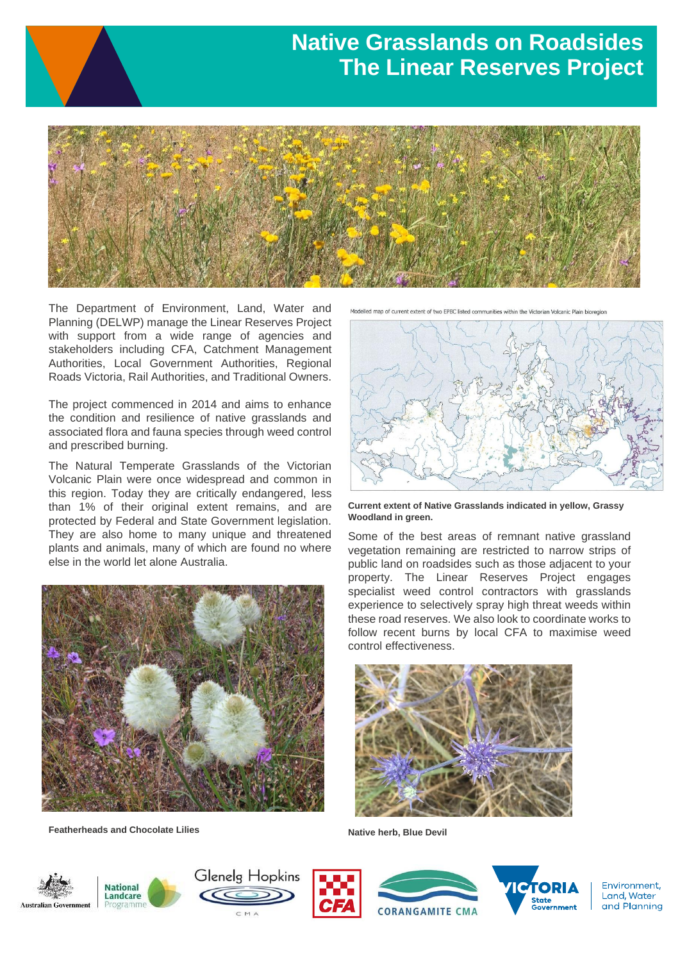## **Native Grasslands on Roadsides The Linear Reserves Project**



The Department of Environment, Land, Water and Planning (DELWP) manage the Linear Reserves Project with support from a wide range of agencies and stakeholders including CFA, Catchment Management Authorities, Local Government Authorities, Regional Roads Victoria, Rail Authorities, and Traditional Owners.

The project commenced in 2014 and aims to enhance the condition and resilience of native grasslands and associated flora and fauna species through weed control and prescribed burning.

The Natural Temperate Grasslands of the Victorian Volcanic Plain were once widespread and common in this region. Today they are critically endangered, less than 1% of their original extent remains, and are protected by Federal and State Government legislation. They are also home to many unique and threatened plants and animals, many of which are found no where else in the world let alone Australia.



**Featherheads and Chocolate Lilies**

Modelled map of current extent of two EPBC listed communities within the Victorian Volcanic Plain bioregion



**Current extent of Native Grasslands indicated in yellow, Grassy Woodland in green.**

Some of the best areas of remnant native grassland vegetation remaining are restricted to narrow strips of public land on roadsides such as those adjacent to your property. The Linear Reserves Project engages specialist weed control contractors with grasslands experience to selectively spray high threat weeds within these road reserves. We also look to coordinate works to follow recent burns by local CFA to maximise weed control effectiveness.



**Native herb, Blue Devil**













Environment. Land, Water and Planning